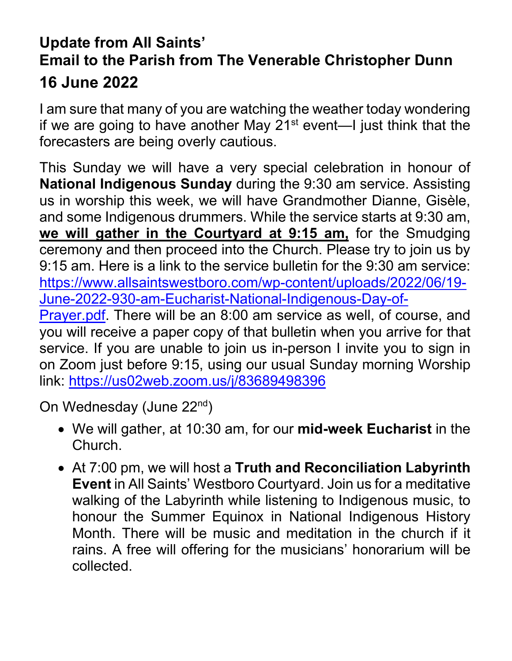## **Update from All Saints' Email to the Parish from The Venerable Christopher Dunn 16 June 2022**

I am sure that many of you are watching the weather today wondering if we are going to have another May  $21^{st}$  event—I just think that the forecasters are being overly cautious.

This Sunday we will have a very special celebration in honour of **National Indigenous Sunday** during the 9:30 am service. Assisting us in worship this week, we will have Grandmother Dianne, Gisèle, and some Indigenous drummers. While the service starts at 9:30 am, **we will gather in the Courtyard at 9:15 am,** for the Smudging ceremony and then proceed into the Church. Please try to join us by 9:15 am. Here is a link to the service bulletin for the 9:30 am service: [https://www.allsaintswestboro.com/wp-content/uploads/2022/06/19-](https://www.allsaintswestboro.com/wp-content/uploads/2022/06/19-June-2022-930-am-Eucharist-National-Indigenous-Day-of-Prayer.pdf) [June-2022-930-am-Eucharist-National-Indigenous-Day-of-](https://www.allsaintswestboro.com/wp-content/uploads/2022/06/19-June-2022-930-am-Eucharist-National-Indigenous-Day-of-Prayer.pdf)

[Prayer.pdf.](https://www.allsaintswestboro.com/wp-content/uploads/2022/06/19-June-2022-930-am-Eucharist-National-Indigenous-Day-of-Prayer.pdf) There will be an 8:00 am service as well, of course, and you will receive a paper copy of that bulletin when you arrive for that service. If you are unable to join us in-person I invite you to sign in on Zoom just before 9:15, using our usual Sunday morning Worship link: <https://us02web.zoom.us/j/83689498396>

On Wednesday (June 22<sup>nd</sup>)

- We will gather, at 10:30 am, for our **mid-week Eucharist** in the Church.
- At 7:00 pm, we will host a **Truth and Reconciliation Labyrinth Event** in All Saints' Westboro Courtyard. Join us for a meditative walking of the Labyrinth while listening to Indigenous music, to honour the Summer Equinox in National Indigenous History Month. There will be music and meditation in the church if it rains. A free will offering for the musicians' honorarium will be collected.